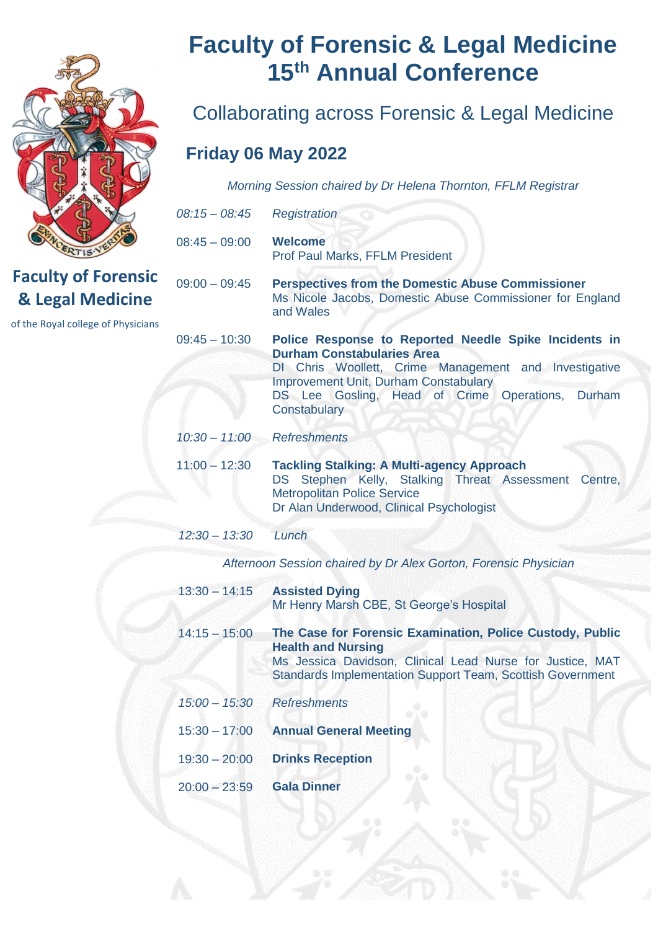

### **Faculty of Forensic & Legal Medicine**

of the Royal college of Physicians

# **Faculty of Forensic & Legal Medicine 15 th Annual Conference**

# Collaborating across Forensic & Legal Medicine

## **Friday 06 May 2022**

*Morning Session chaired by Dr Helena Thornton, FFLM Registrar*

*08:15 – 08:45*  $08:45 - 09:00$ *Registration* **Welcome** Prof Paul Marks, FFLM President

#### 09:00 – 09:45 **Perspectives from the Domestic Abuse Commissioner** Ms Nicole Jacobs, Domestic Abuse Commissioner for England and Wales

#### 09:45 – 10:30 **Police Response to Reported Needle Spike Incidents in Durham Constabularies Area**  DI Chris Woollett, Crime Management and Investigative Improvement Unit, Durham Constabulary DS Lee Gosling, Head of Crime Operations, Durham **Constabulary**

*10:30 – 11:00 Refreshments* 

### 11:00 – 12:30 **Tackling Stalking: A Multi-agency Approach** DS Stephen Kelly, Stalking Threat Assessment Centre, Metropolitan Police Service Dr Alan Underwood, Clinical Psychologist

*12:30 – 13:30 Lunch*

*Afternoon Session chaired by Dr Alex Gorton, Forensic Physician*

| $13:30 - 14:15$              | <b>Assisted Dying</b><br>Mr Henry Marsh CBE, St George's Hospital                                                                                                                                                        |
|------------------------------|--------------------------------------------------------------------------------------------------------------------------------------------------------------------------------------------------------------------------|
| $14:15 - 15:00$              | The Case for Forensic Examination, Police Custody, Public<br><b>Health and Nursing</b><br>Ms Jessica Davidson, Clinical Lead Nurse for Justice, MAT<br><b>Standards Implementation Support Team, Scottish Government</b> |
| $15:00 - 15:30$ Refreshments |                                                                                                                                                                                                                          |
| $15:30 - 17:00$              | <b>Annual General Meeting</b>                                                                                                                                                                                            |
| $19:30 - 20:00$              | <b>Drinks Reception</b>                                                                                                                                                                                                  |
| $20:00 - 23:59$              | <b>Gala Dinner</b>                                                                                                                                                                                                       |
|                              |                                                                                                                                                                                                                          |